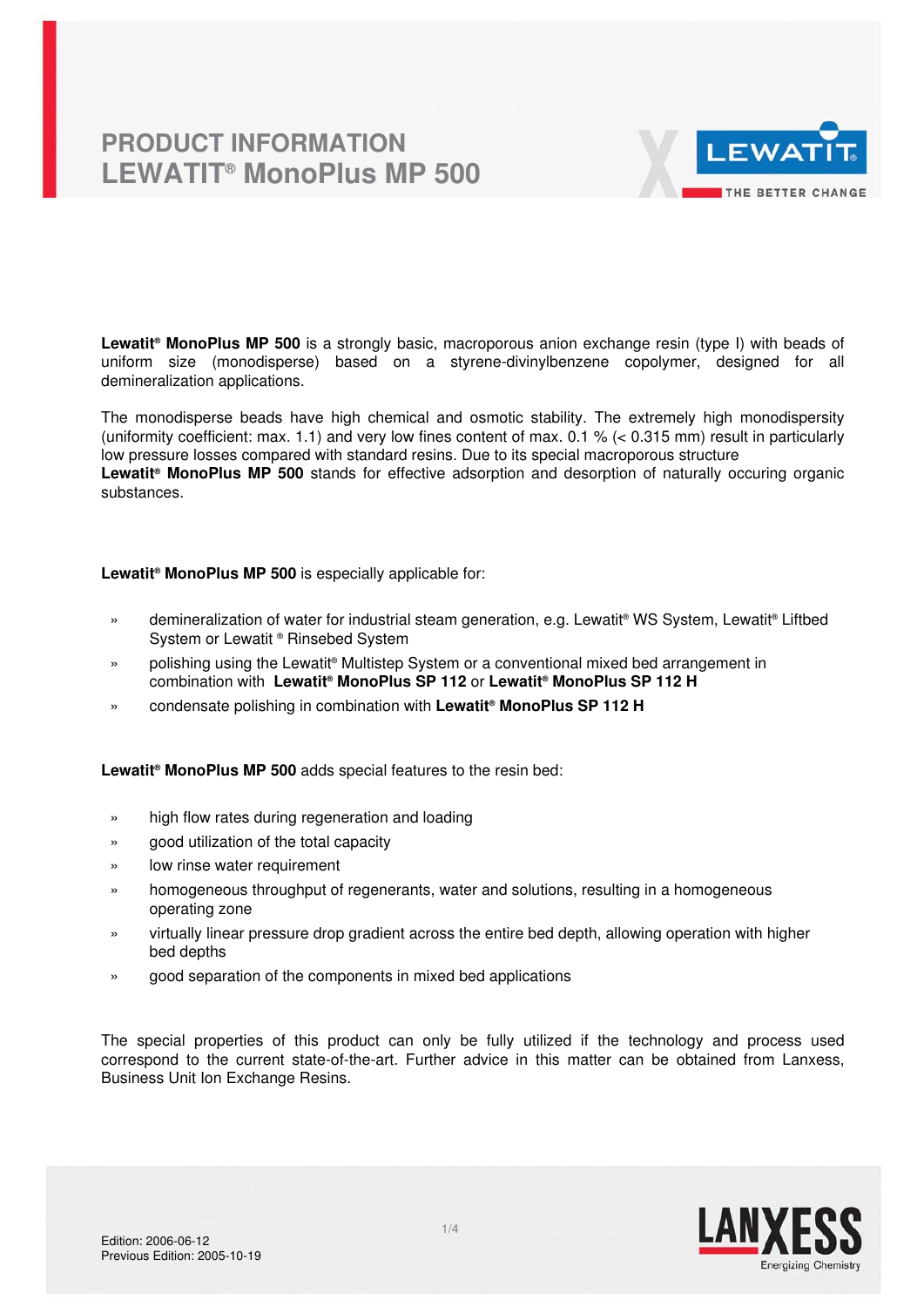

**Lewatit® MonoPlus MP 500** is a strongly basic, macroporous anion exchange resin (type I) with beads of uniform size (monodisperse) based on a styrene-divinylbenzene copolymer, designed for all demineralization applications.

The monodisperse beads have high chemical and osmotic stability. The extremely high monodispersity (uniformity coefficient: max. 1.1) and very low fines content of max. 0.1 % (< 0.315 mm) result in particularly low pressure losses compared with standard resins. Due to its special macroporous structure Lewatit<sup>®</sup> MonoPlus MP 500 stands for effective adsorption and desorption of naturally occuring organic substances.

**Lewatit® MonoPlus MP 500** is especially applicable for:

- » demineralization of water for industrial steam generation, e.g. Lewatit<sup>®</sup> WS System, Lewatit<sup>®</sup> Liftbed System or Lewatit ® Rinsebed System
- » polishing using the Lewatit® Multistep System or a conventional mixed bed arrangement in combination with **Lewatit® MonoPlus SP 112** or **Lewatit® MonoPlus SP 112 H**
- » condensate polishing in combination with **Lewatit® MonoPlus SP 112 H**

**Lewatit® MonoPlus MP 500** adds special features to the resin bed:

- » high flow rates during regeneration and loading
- » good utilization of the total capacity
- » low rinse water requirement
- » homogeneous throughput of regenerants, water and solutions, resulting in a homogeneous operating zone
- » virtually linear pressure drop gradient across the entire bed depth, allowing operation with higher bed depths
- » good separation of the components in mixed bed applications

The special properties of this product can only be fully utilized if the technology and process used correspond to the current state-of-the-art. Further advice in this matter can be obtained from Lanxess, Business Unit Ion Exchange Resins.

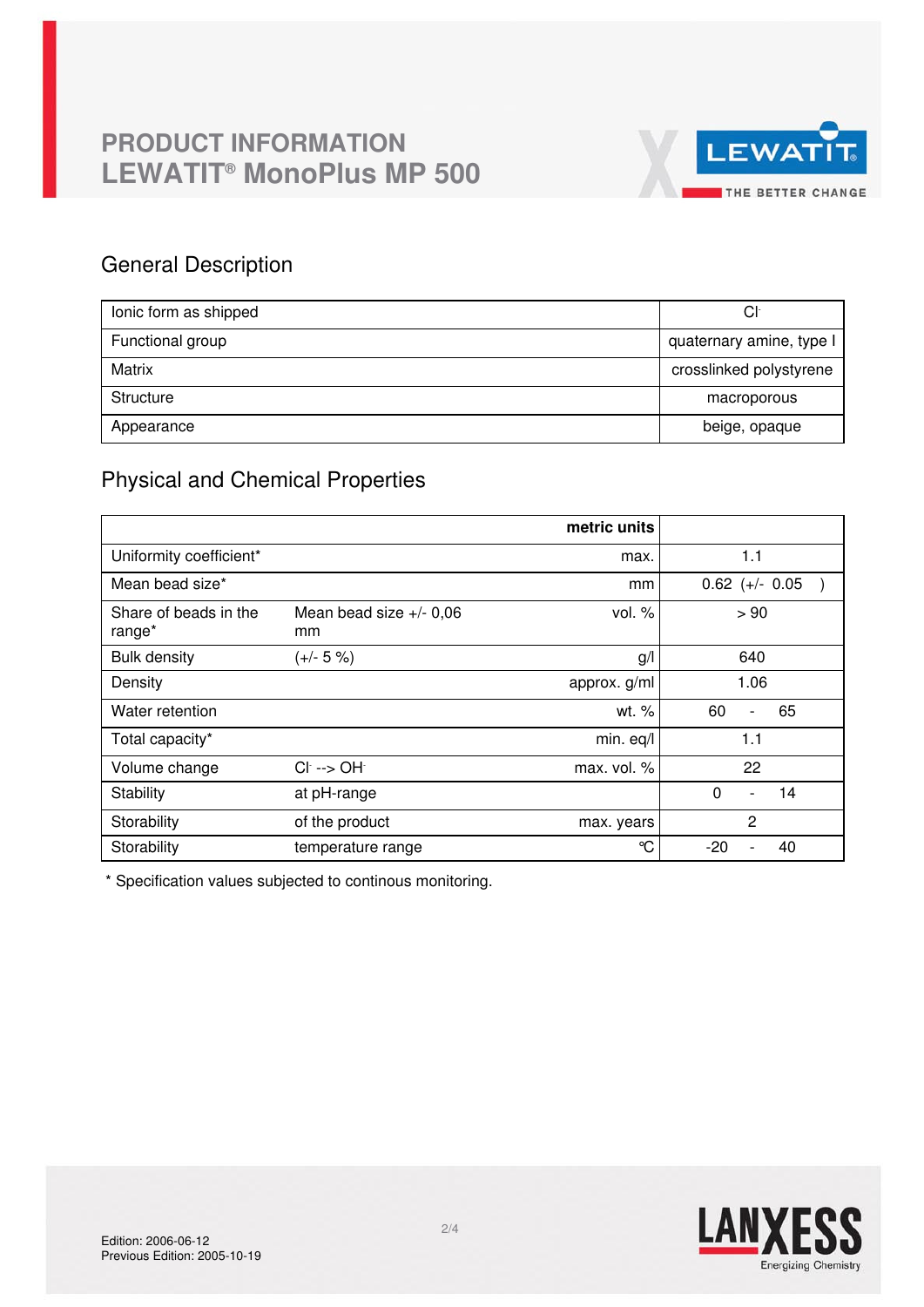

## General Description

| lonic form as shipped | Сŀ                       |
|-----------------------|--------------------------|
| Functional group      | quaternary amine, type I |
| Matrix                | crosslinked polystyrene  |
| Structure             | macroporous              |
| Appearance            | beige, opaque            |

## Physical and Chemical Properties

|                                 |                                | metric units  |                                  |
|---------------------------------|--------------------------------|---------------|----------------------------------|
| Uniformity coefficient*         |                                | max.          | 1.1                              |
| Mean bead size*                 |                                | mm            | $0.62$ (+/- 0.05                 |
| Share of beads in the<br>range* | Mean bead size $+/-0.06$<br>mm | vol. $%$      | > 90                             |
| <b>Bulk density</b>             | $(+/- 5 %)$                    | g/            | 640                              |
| Density                         |                                | approx. g/ml  | 1.06                             |
| Water retention                 |                                | wt. %         | 60<br>65<br>$\blacksquare$       |
| Total capacity*                 |                                | min. eq/l     | 1.1                              |
| Volume change                   | $Cl^- \rightarrow OH^-$        | max. vol. $%$ | 22                               |
| Stability                       | at pH-range                    |               | $\Omega$<br>14<br>$\blacksquare$ |
| Storability                     | of the product                 | max. years    | $\overline{2}$                   |
| Storability                     | temperature range              | °C            | $-20$<br>40                      |

\* Specification values subjected to continous monitoring.

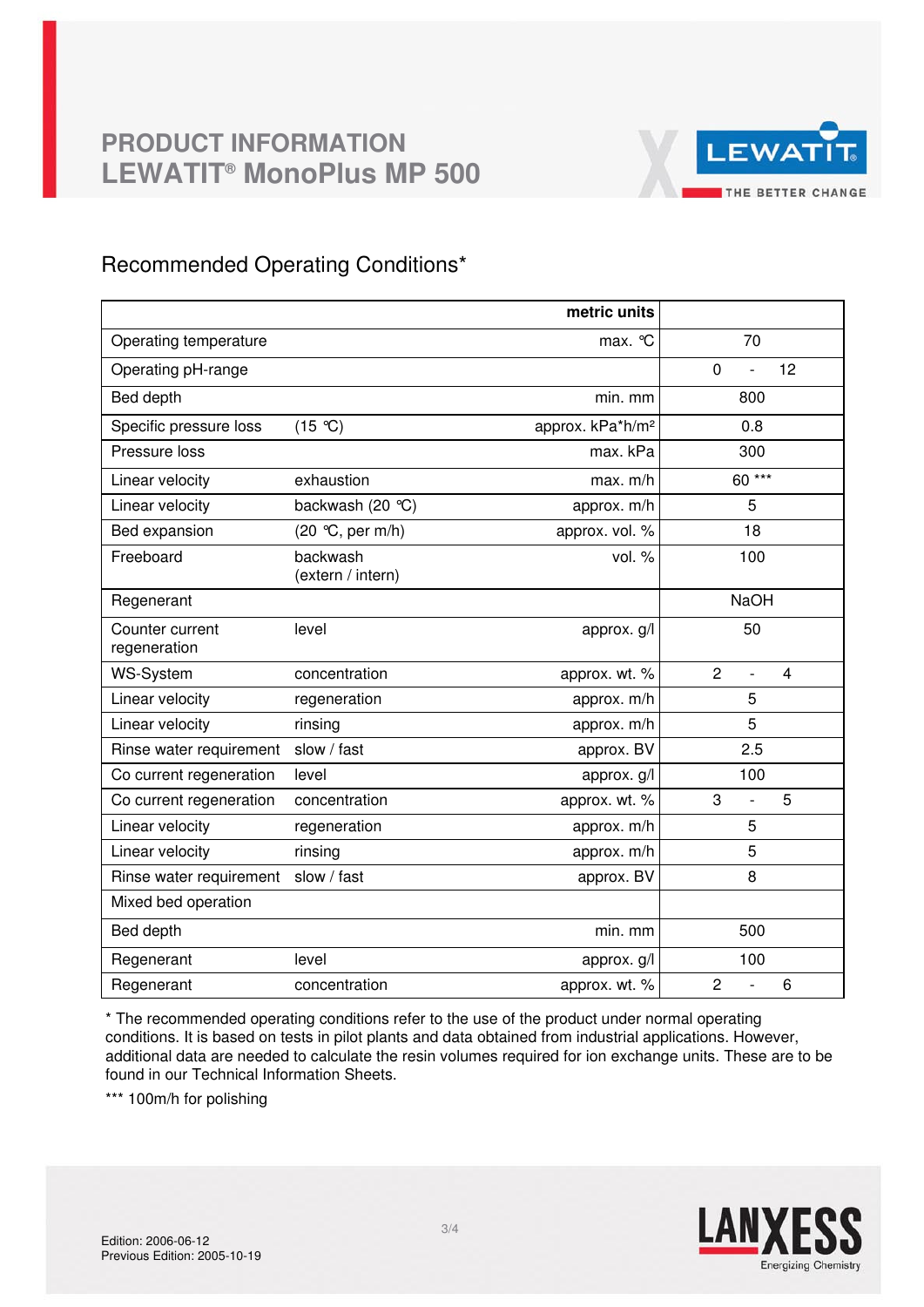

## Recommended Operating Conditions\*

|                                 |                               | metric units                 |                                       |
|---------------------------------|-------------------------------|------------------------------|---------------------------------------|
| Operating temperature           |                               | max. °C                      | 70                                    |
| Operating pH-range              |                               |                              | $\mathbf 0$<br>12<br>$\overline{a}$   |
| Bed depth                       |                               | min. mm                      | 800                                   |
| Specific pressure loss          | (15 °C)                       | approx. kPa*h/m <sup>2</sup> | 0.8                                   |
| Pressure loss                   |                               | max. kPa                     | 300                                   |
| Linear velocity                 | exhaustion                    | max. m/h                     | 60***                                 |
| Linear velocity                 | backwash (20 °C)              | approx. m/h                  | 5                                     |
| Bed expansion                   | (20 °C, per m/h)              | approx. vol. %               | 18                                    |
| Freeboard                       | backwash<br>(extern / intern) | vol. %                       | 100                                   |
| Regenerant                      |                               |                              | <b>NaOH</b>                           |
| Counter current<br>regeneration | level                         | approx. g/l                  | 50                                    |
| <b>WS-System</b>                | concentration                 | approx. wt. %                | $\overline{2}$<br>4<br>$\overline{a}$ |
| Linear velocity                 | regeneration                  | approx. m/h                  | 5                                     |
| Linear velocity                 | rinsing                       | approx. m/h                  | 5                                     |
| Rinse water requirement         | slow / fast                   | approx. BV                   | 2.5                                   |
| Co current regeneration         | level                         | approx. g/l                  | 100                                   |
| Co current regeneration         | concentration                 | approx. wt. %                | 3<br>5<br>$\overline{a}$              |
| Linear velocity                 | regeneration                  | approx. m/h                  | 5                                     |
| Linear velocity                 | rinsing                       | approx. m/h                  | 5                                     |
| Rinse water requirement         | slow / fast                   | approx. BV                   | 8                                     |
| Mixed bed operation             |                               |                              |                                       |
| Bed depth                       |                               | min. mm                      | 500                                   |
| Regenerant                      | level                         | approx. g/l                  | 100                                   |
| Regenerant                      | concentration                 | approx. wt. %                | $\overline{2}$<br>6<br>$\overline{a}$ |

\* The recommended operating conditions refer to the use of the product under normal operating conditions. It is based on tests in pilot plants and data obtained from industrial applications. However, additional data are needed to calculate the resin volumes required for ion exchange units. These are to be found in our Technical Information Sheets.

\*\*\* 100m/h for polishing

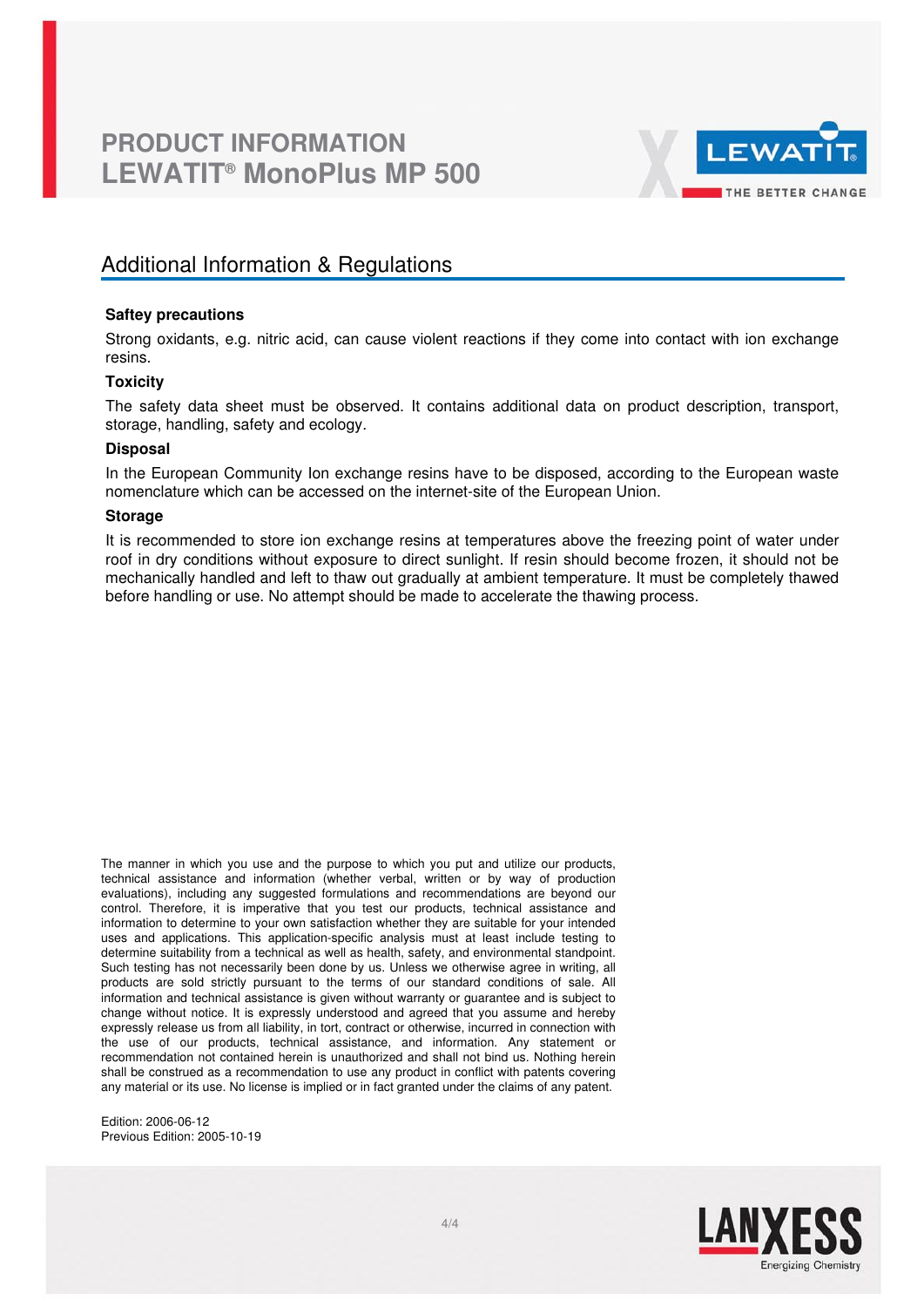

## Additional Information & Regulations

### **Saftey precautions**

Strong oxidants, e.g. nitric acid, can cause violent reactions if they come into contact with ion exchange resins.

## **Toxicity**

The safety data sheet must be observed. It contains additional data on product description, transport, storage, handling, safety and ecology.

### **Disposal**

In the European Community Ion exchange resins have to be disposed, according to the European waste nomenclature which can be accessed on the internet-site of the European Union.

### **Storage**

It is recommended to store ion exchange resins at temperatures above the freezing point of water under roof in dry conditions without exposure to direct sunlight. If resin should become frozen, it should not be mechanically handled and left to thaw out gradually at ambient temperature. It must be completely thawed before handling or use. No attempt should be made to accelerate the thawing process.

The manner in which you use and the purpose to which you put and utilize our products, technical assistance and information (whether verbal, written or by way of production evaluations), including any suggested formulations and recommendations are beyond our control. Therefore, it is imperative that you test our products, technical assistance and information to determine to your own satisfaction whether they are suitable for your intended uses and applications. This application-specific analysis must at least include testing to determine suitability from a technical as well as health, safety, and environmental standpoint. Such testing has not necessarily been done by us. Unless we otherwise agree in writing, all products are sold strictly pursuant to the terms of our standard conditions of sale. All information and technical assistance is given without warranty or guarantee and is subject to change without notice. It is expressly understood and agreed that you assume and hereby expressly release us from all liability, in tort, contract or otherwise, incurred in connection with the use of our products, technical assistance, and information. Any statement or recommendation not contained herein is unauthorized and shall not bind us. Nothing herein shall be construed as a recommendation to use any product in conflict with patents covering any material or its use. No license is implied or in fact granted under the claims of any patent.

Edition: 2006-06-12 Previous Edition: 2005-10-19